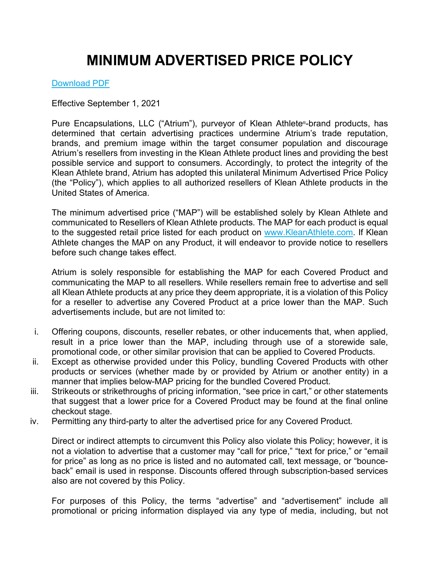# **MINIMUM ADVERTISED PRICE POLICY**

### [Download PDF](https://www.kleanathlete.com/media/18_08_KA_OTH_MAP%20Policy_FIN.pdf)

Effective September 1, 2021

Pure Encapsulations, LLC ("Atrium"), purveyor of Klean Athlete®-brand products, has determined that certain advertising practices undermine Atrium's trade reputation, brands, and premium image within the target consumer population and discourage Atrium's resellers from investing in the Klean Athlete product lines and providing the best possible service and support to consumers. Accordingly, to protect the integrity of the Klean Athlete brand, Atrium has adopted this unilateral Minimum Advertised Price Policy (the "Policy"), which applies to all authorized resellers of Klean Athlete products in the United States of America.

The minimum advertised price ("MAP") will be established solely by Klean Athlete and communicated to Resellers of Klean Athlete products. The MAP for each product is equal to the suggested retail price listed for each product on [www.KleanAthlete.com.](https://www.kleanathlete.com/) If Klean Athlete changes the MAP on any Product, it will endeavor to provide notice to resellers before such change takes effect.

Atrium is solely responsible for establishing the MAP for each Covered Product and communicating the MAP to all resellers. While resellers remain free to advertise and sell all Klean Athlete products at any price they deem appropriate, it is a violation of this Policy for a reseller to advertise any Covered Product at a price lower than the MAP. Such advertisements include, but are not limited to:

- i. Offering coupons, discounts, reseller rebates, or other inducements that, when applied, result in a price lower than the MAP, including through use of a storewide sale, promotional code, or other similar provision that can be applied to Covered Products.
- ii. Except as otherwise provided under this Policy, bundling Covered Products with other products or services (whether made by or provided by Atrium or another entity) in a manner that implies below-MAP pricing for the bundled Covered Product.
- iii. Strikeouts or strikethroughs of pricing information, "see price in cart," or other statements that suggest that a lower price for a Covered Product may be found at the final online checkout stage.
- iv. Permitting any third-party to alter the advertised price for any Covered Product.

Direct or indirect attempts to circumvent this Policy also violate this Policy; however, it is not a violation to advertise that a customer may "call for price," "text for price," or "email for price" as long as no price is listed and no automated call, text message, or "bounceback" email is used in response. Discounts offered through subscription-based services also are not covered by this Policy.

For purposes of this Policy, the terms "advertise" and "advertisement" include all promotional or pricing information displayed via any type of media, including, but not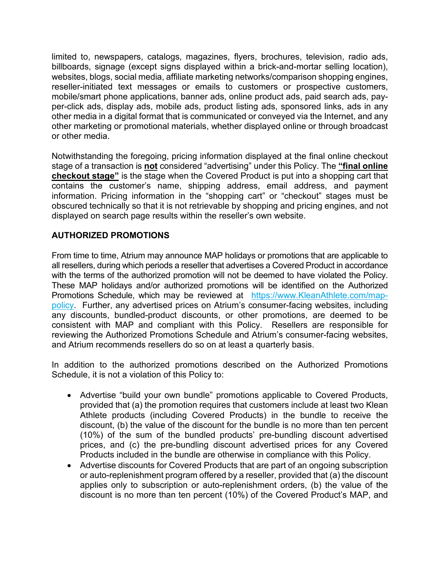limited to, newspapers, catalogs, magazines, flyers, brochures, television, radio ads, billboards, signage (except signs displayed within a brick-and-mortar selling location), websites, blogs, social media, affiliate marketing networks/comparison shopping engines, reseller-initiated text messages or emails to customers or prospective customers, mobile/smart phone applications, banner ads, online product ads, paid search ads, payper-click ads, display ads, mobile ads, product listing ads, sponsored links, ads in any other media in a digital format that is communicated or conveyed via the Internet, and any other marketing or promotional materials, whether displayed online or through broadcast or other media.

Notwithstanding the foregoing, pricing information displayed at the final online checkout stage of a transaction is **not** considered "advertising" under this Policy. The **"final online checkout stage"** is the stage when the Covered Product is put into a shopping cart that contains the customer's name, shipping address, email address, and payment information. Pricing information in the "shopping cart" or "checkout" stages must be obscured technically so that it is not retrievable by shopping and pricing engines, and not displayed on search page results within the reseller's own website.

## **AUTHORIZED PROMOTIONS**

From time to time, Atrium may announce MAP holidays or promotions that are applicable to all resellers, during which periods a reseller that advertises a Covered Product in accordance with the terms of the authorized promotion will not be deemed to have violated the Policy. These MAP holidays and/or authorized promotions will be identified on the Authorized Promotions Schedule, which may be reviewed at [https://www.KleanAthlete.com/map](https://www.kleanathlete.com/map-policy)[policy.](https://www.kleanathlete.com/map-policy) Further, any advertised prices on Atrium's consumer-facing websites, including any discounts, bundled-product discounts, or other promotions, are deemed to be consistent with MAP and compliant with this Policy. Resellers are responsible for reviewing the Authorized Promotions Schedule and Atrium's consumer-facing websites, and Atrium recommends resellers do so on at least a quarterly basis.

In addition to the authorized promotions described on the Authorized Promotions Schedule, it is not a violation of this Policy to:

- Advertise "build your own bundle" promotions applicable to Covered Products, provided that (a) the promotion requires that customers include at least two Klean Athlete products (including Covered Products) in the bundle to receive the discount, (b) the value of the discount for the bundle is no more than ten percent (10%) of the sum of the bundled products' pre-bundling discount advertised prices, and (c) the pre-bundling discount advertised prices for any Covered Products included in the bundle are otherwise in compliance with this Policy.
- Advertise discounts for Covered Products that are part of an ongoing subscription or auto-replenishment program offered by a reseller, provided that (a) the discount applies only to subscription or auto-replenishment orders, (b) the value of the discount is no more than ten percent (10%) of the Covered Product's MAP, and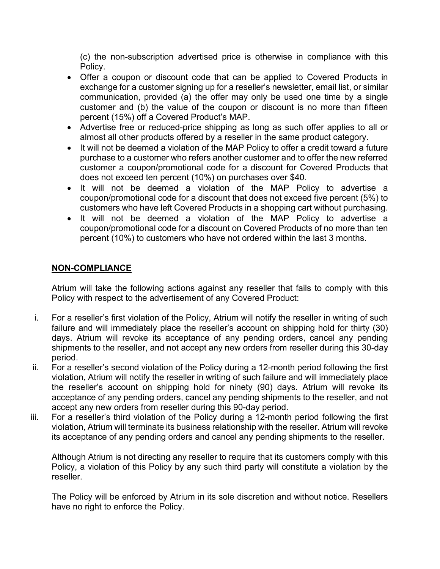(c) the non-subscription advertised price is otherwise in compliance with this Policy.

- Offer a coupon or discount code that can be applied to Covered Products in exchange for a customer signing up for a reseller's newsletter, email list, or similar communication, provided (a) the offer may only be used one time by a single customer and (b) the value of the coupon or discount is no more than fifteen percent (15%) off a Covered Product's MAP.
- Advertise free or reduced-price shipping as long as such offer applies to all or almost all other products offered by a reseller in the same product category.
- It will not be deemed a violation of the MAP Policy to offer a credit toward a future purchase to a customer who refers another customer and to offer the new referred customer a coupon/promotional code for a discount for Covered Products that does not exceed ten percent (10%) on purchases over \$40.
- It will not be deemed a violation of the MAP Policy to advertise a coupon/promotional code for a discount that does not exceed five percent (5%) to customers who have left Covered Products in a shopping cart without purchasing.
- It will not be deemed a violation of the MAP Policy to advertise a coupon/promotional code for a discount on Covered Products of no more than ten percent (10%) to customers who have not ordered within the last 3 months.

## **NON-COMPLIANCE**

Atrium will take the following actions against any reseller that fails to comply with this Policy with respect to the advertisement of any Covered Product:

- i. For a reseller's first violation of the Policy, Atrium will notify the reseller in writing of such failure and will immediately place the reseller's account on shipping hold for thirty (30) days. Atrium will revoke its acceptance of any pending orders, cancel any pending shipments to the reseller, and not accept any new orders from reseller during this 30-day period.
- ii. For a reseller's second violation of the Policy during a 12-month period following the first violation, Atrium will notify the reseller in writing of such failure and will immediately place the reseller's account on shipping hold for ninety (90) days. Atrium will revoke its acceptance of any pending orders, cancel any pending shipments to the reseller, and not accept any new orders from reseller during this 90-day period.
- iii. For a reseller's third violation of the Policy during a 12-month period following the first violation, Atrium will terminate its business relationship with the reseller. Atrium will revoke its acceptance of any pending orders and cancel any pending shipments to the reseller.

Although Atrium is not directing any reseller to require that its customers comply with this Policy, a violation of this Policy by any such third party will constitute a violation by the reseller.

The Policy will be enforced by Atrium in its sole discretion and without notice. Resellers have no right to enforce the Policy.